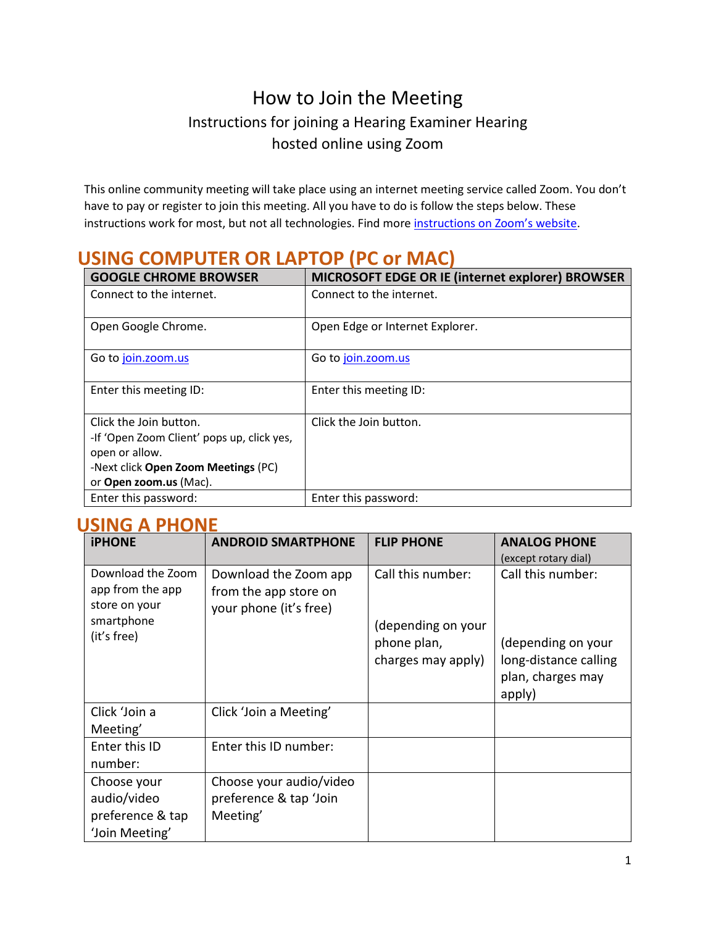# How to Join the Meeting Instructions for joining a Hearing Examiner Hearing hosted online using Zoom

This online community meeting will take place using an internet meeting service called Zoom. You don't have to pay or register to join this meeting. All you have to do is follow the steps below. These instructions work for most, but not all technologies. Find more [instructions on Zoom's website.](https://support.zoom.us/hc/en-us/articles/201362193)

| <u>UVIVII V</u><br>.<br>11 V VI IVIAVI                                                                                                                  |                                                  |  |  |
|---------------------------------------------------------------------------------------------------------------------------------------------------------|--------------------------------------------------|--|--|
| <b>GOOGLE CHROME BROWSER</b>                                                                                                                            | MICROSOFT EDGE OR IE (internet explorer) BROWSER |  |  |
| Connect to the internet.                                                                                                                                | Connect to the internet.                         |  |  |
| Open Google Chrome.                                                                                                                                     | Open Edge or Internet Explorer.                  |  |  |
| Go to join.zoom.us                                                                                                                                      | Go to join.zoom.us                               |  |  |
| Enter this meeting ID:                                                                                                                                  | Enter this meeting ID:                           |  |  |
| Click the Join button.<br>-If 'Open Zoom Client' pops up, click yes,<br>open or allow.<br>-Next click Open Zoom Meetings (PC)<br>or Open zoom.us (Mac). | Click the Join button.                           |  |  |
| Enter this password:                                                                                                                                    | Enter this password:                             |  |  |

## **USING COMPUTER OR LAPTOP (PC or MAC)**

### **USING A PHONE**

| <b>iPHONE</b>             | <b>ANDROID SMARTPHONE</b> | <b>FLIP PHONE</b>  | <b>ANALOG PHONE</b>   |
|---------------------------|---------------------------|--------------------|-----------------------|
|                           |                           |                    | (except rotary dial)  |
| Download the Zoom         | Download the Zoom app     | Call this number:  | Call this number:     |
| app from the app          | from the app store on     |                    |                       |
| store on your             | your phone (it's free)    |                    |                       |
| smartphone<br>(it's free) |                           | (depending on your |                       |
|                           |                           | phone plan,        | (depending on your    |
|                           |                           | charges may apply) | long-distance calling |
|                           |                           |                    | plan, charges may     |
|                           |                           |                    | apply)                |
| Click 'Join a             | Click 'Join a Meeting'    |                    |                       |
| Meeting'                  |                           |                    |                       |
| Enter this ID             | Enter this ID number:     |                    |                       |
| number:                   |                           |                    |                       |
| Choose your               | Choose your audio/video   |                    |                       |
| audio/video               | preference & tap 'Join    |                    |                       |
| preference & tap          | Meeting'                  |                    |                       |
| 'Join Meeting'            |                           |                    |                       |